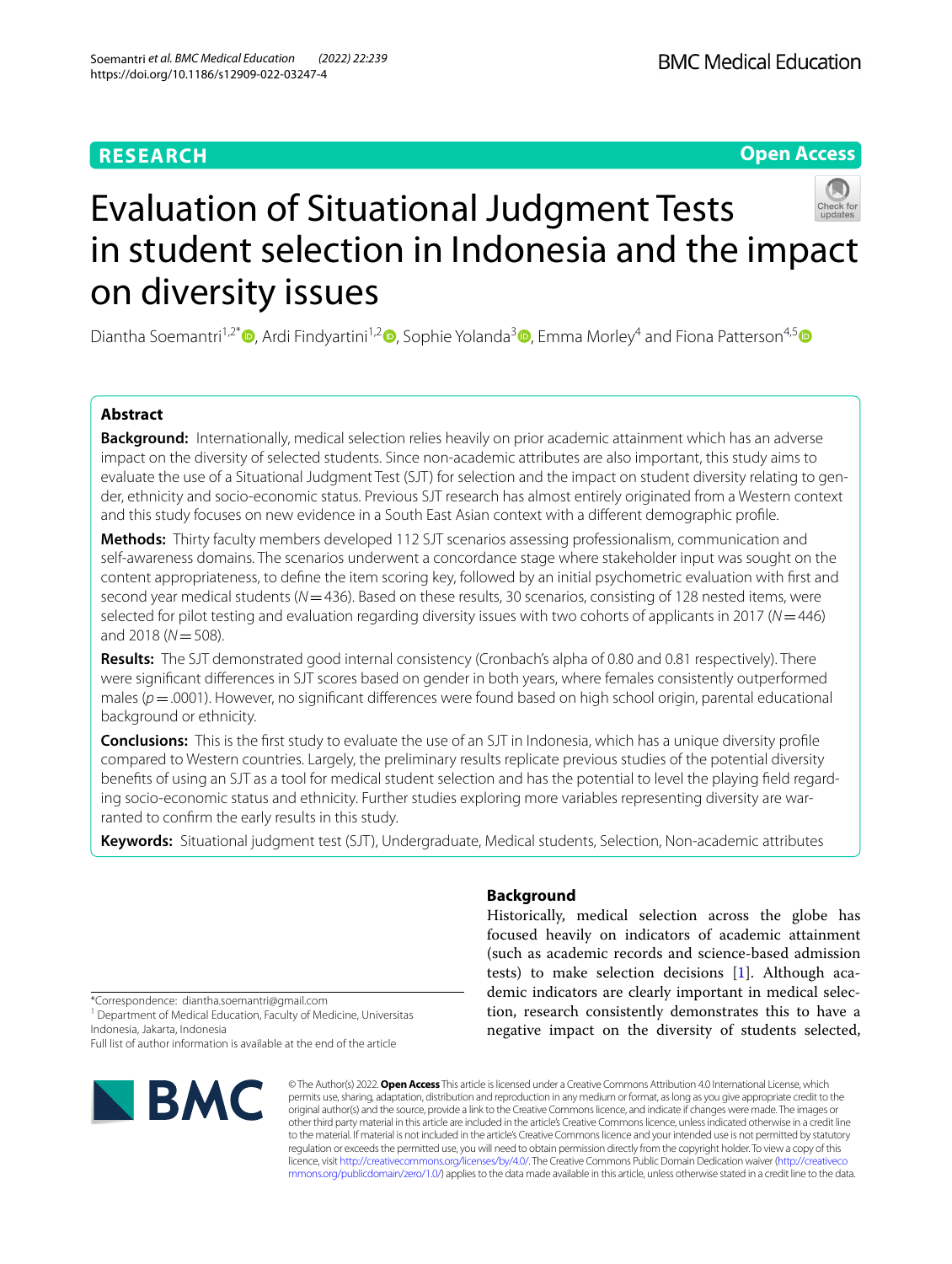# **RESEARCH**

**Open Access**



Diantha Soemantri<sup>1[,](https://orcid.org/0000-0001-9726-7067)2\*</sup>  $\bullet$ [,](https://orcid.org/0000-0002-9601-3994) Ardi Findyartini<sup>1,2</sup>  $\bullet$ , Sophie Yolanda<sup>3</sup>  $\bullet$ , Emma Morley<sup>4</sup> and Fiona Patterson<sup>4,[5](https://orcid.org/0000-0002-1031-130X)</sup>  $\bullet$ 

# **Abstract**

**Background:** Internationally, medical selection relies heavily on prior academic attainment which has an adverse impact on the diversity of selected students. Since non-academic attributes are also important, this study aims to evaluate the use of a Situational Judgment Test (SJT) for selection and the impact on student diversity relating to gender, ethnicity and socio-economic status. Previous SJT research has almost entirely originated from a Western context and this study focuses on new evidence in a South East Asian context with a diferent demographic profle.

**Methods:** Thirty faculty members developed 112 SJT scenarios assessing professionalism, communication and self-awareness domains. The scenarios underwent a concordance stage where stakeholder input was sought on the content appropriateness, to defne the item scoring key, followed by an initial psychometric evaluation with frst and second year medical students (*N*=436). Based on these results, 30 scenarios, consisting of 128 nested items, were selected for pilot testing and evaluation regarding diversity issues with two cohorts of applicants in 2017 (*N*=446) and 2018 (*N*=508).

**Results:** The SJT demonstrated good internal consistency (Cronbach's alpha of 0.80 and 0.81 respectively). There were signifcant diferences in SJT scores based on gender in both years, where females consistently outperformed males ( $p$  = .0001). However, no significant differences were found based on high school origin, parental educational background or ethnicity.

**Conclusions:** This is the frst study to evaluate the use of an SJT in Indonesia, which has a unique diversity profle compared to Western countries. Largely, the preliminary results replicate previous studies of the potential diversity benefts of using an SJT as a tool for medical student selection and has the potential to level the playing feld regarding socio-economic status and ethnicity. Further studies exploring more variables representing diversity are warranted to confrm the early results in this study.

**Keywords:** Situational judgment test (SJT), Undergraduate, Medical students, Selection, Non-academic attributes

# **Background**

Historically, medical selection across the globe has focused heavily on indicators of academic attainment (such as academic records and science-based admission tests) to make selection decisions [[1\]](#page-8-0). Although academic indicators are clearly important in medical selection, research consistently demonstrates this to have a negative impact on the diversity of students selected,

\*Correspondence: diantha.soemantri@gmail.com

<sup>1</sup> Department of Medical Education, Faculty of Medicine, Universitas Indonesia, Jakarta, Indonesia

Full list of author information is available at the end of the article



© The Author(s) 2022. **Open Access** This article is licensed under a Creative Commons Attribution 4.0 International License, which permits use, sharing, adaptation, distribution and reproduction in any medium or format, as long as you give appropriate credit to the original author(s) and the source, provide a link to the Creative Commons licence, and indicate if changes were made. The images or other third party material in this article are included in the article's Creative Commons licence, unless indicated otherwise in a credit line to the material. If material is not included in the article's Creative Commons licence and your intended use is not permitted by statutory regulation or exceeds the permitted use, you will need to obtain permission directly from the copyright holder. To view a copy of this licence, visit [http://creativecommons.org/licenses/by/4.0/.](http://creativecommons.org/licenses/by/4.0/) The Creative Commons Public Domain Dedication waiver ([http://creativeco](http://creativecommons.org/publicdomain/zero/1.0/) [mmons.org/publicdomain/zero/1.0/](http://creativecommons.org/publicdomain/zero/1.0/)) applies to the data made available in this article, unless otherwise stated in a credit line to the data.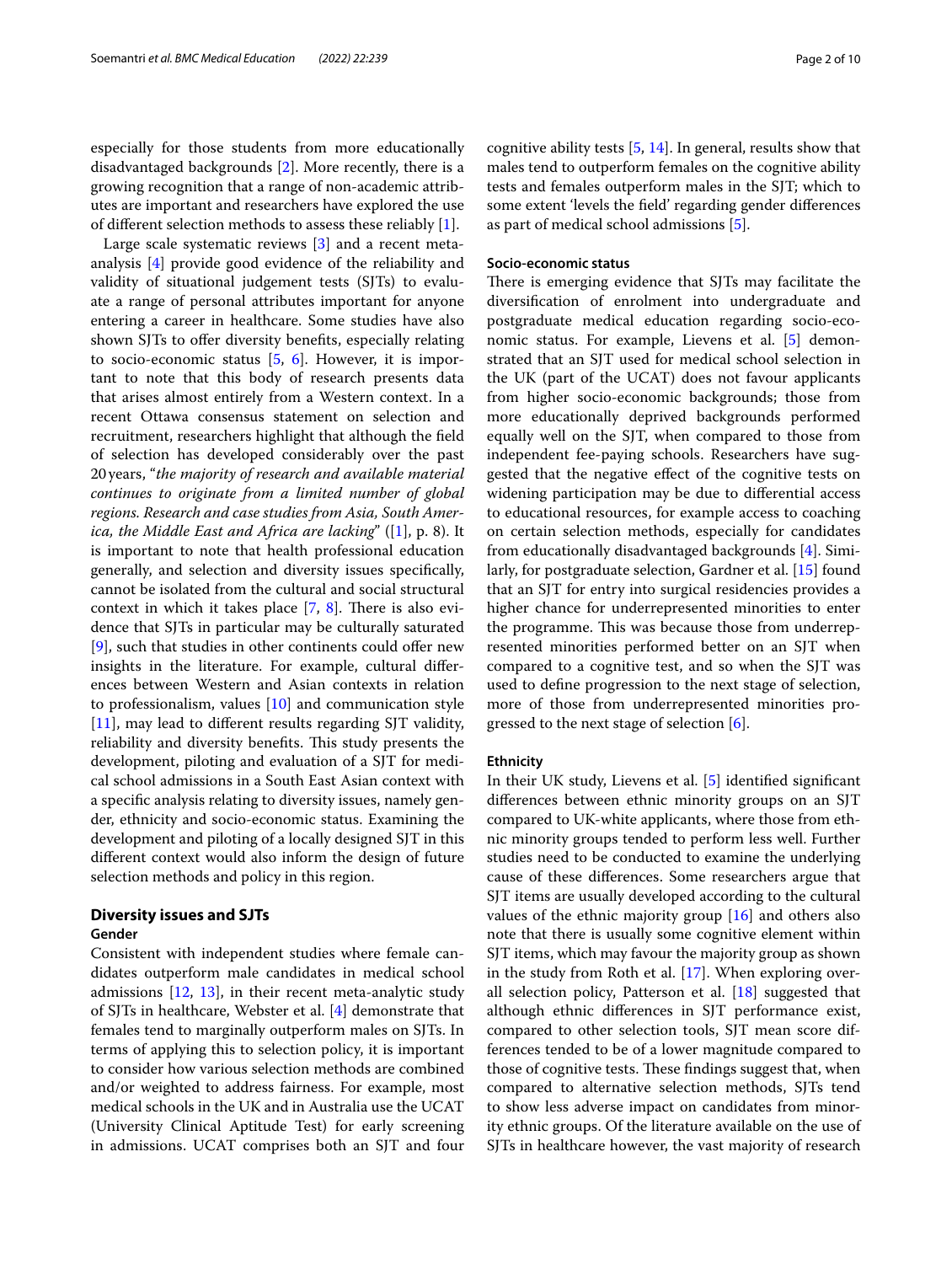especially for those students from more educationally disadvantaged backgrounds [[2\]](#page-8-1). More recently, there is a growing recognition that a range of non-academic attributes are important and researchers have explored the use of diferent selection methods to assess these reliably [\[1](#page-8-0)].

Large scale systematic reviews [[3\]](#page-8-2) and a recent metaanalysis [\[4](#page-8-3)] provide good evidence of the reliability and validity of situational judgement tests (SJTs) to evaluate a range of personal attributes important for anyone entering a career in healthcare. Some studies have also shown SJTs to offer diversity benefits, especially relating to socio-economic status [[5,](#page-8-4) [6](#page-8-5)]. However, it is important to note that this body of research presents data that arises almost entirely from a Western context. In a recent Ottawa consensus statement on selection and recruitment, researchers highlight that although the feld of selection has developed considerably over the past 20years, "*the majority of research and available material continues to originate from a limited number of global regions. Research and case studies from Asia, South America, the Middle East and Africa are lacking*" ([\[1](#page-8-0)], p. 8). It is important to note that health professional education generally, and selection and diversity issues specifcally, cannot be isolated from the cultural and social structural context in which it takes place  $[7, 8]$  $[7, 8]$  $[7, 8]$ . There is also evidence that SJTs in particular may be culturally saturated  $[9]$  $[9]$ , such that studies in other continents could offer new insights in the literature. For example, cultural diferences between Western and Asian contexts in relation to professionalism, values [\[10](#page-8-9)] and communication style [[11\]](#page-8-10), may lead to diferent results regarding SJT validity, reliability and diversity benefits. This study presents the development, piloting and evaluation of a SJT for medical school admissions in a South East Asian context with a specifc analysis relating to diversity issues, namely gender, ethnicity and socio-economic status. Examining the development and piloting of a locally designed SJT in this diferent context would also inform the design of future selection methods and policy in this region.

# **Diversity issues and SJTs**

### **Gender**

Consistent with independent studies where female candidates outperform male candidates in medical school admissions [[12,](#page-8-11) [13\]](#page-9-0), in their recent meta-analytic study of SJTs in healthcare, Webster et al. [\[4](#page-8-3)] demonstrate that females tend to marginally outperform males on SJTs. In terms of applying this to selection policy, it is important to consider how various selection methods are combined and/or weighted to address fairness. For example, most medical schools in the UK and in Australia use the UCAT (University Clinical Aptitude Test) for early screening in admissions. UCAT comprises both an SJT and four cognitive ability tests [\[5](#page-8-4), [14\]](#page-9-1). In general, results show that males tend to outperform females on the cognitive ability tests and females outperform males in the SJT; which to some extent 'levels the feld' regarding gender diferences as part of medical school admissions [\[5](#page-8-4)].

# **Socio‑economic status**

There is emerging evidence that SJTs may facilitate the diversifcation of enrolment into undergraduate and postgraduate medical education regarding socio-economic status. For example, Lievens et al. [\[5](#page-8-4)] demonstrated that an SJT used for medical school selection in the UK (part of the UCAT) does not favour applicants from higher socio-economic backgrounds; those from more educationally deprived backgrounds performed equally well on the SJT, when compared to those from independent fee-paying schools. Researchers have suggested that the negative efect of the cognitive tests on widening participation may be due to diferential access to educational resources, for example access to coaching on certain selection methods, especially for candidates from educationally disadvantaged backgrounds [[4\]](#page-8-3). Similarly, for postgraduate selection, Gardner et al. [\[15\]](#page-9-2) found that an SJT for entry into surgical residencies provides a higher chance for underrepresented minorities to enter the programme. This was because those from underrepresented minorities performed better on an SJT when compared to a cognitive test, and so when the SJT was used to defne progression to the next stage of selection, more of those from underrepresented minorities progressed to the next stage of selection [[6\]](#page-8-5).

## **Ethnicity**

In their UK study, Lievens et al. [\[5](#page-8-4)] identifed signifcant diferences between ethnic minority groups on an SJT compared to UK-white applicants, where those from ethnic minority groups tended to perform less well. Further studies need to be conducted to examine the underlying cause of these diferences. Some researchers argue that SJT items are usually developed according to the cultural values of the ethnic majority group [[16](#page-9-3)] and others also note that there is usually some cognitive element within SJT items, which may favour the majority group as shown in the study from Roth et al. [\[17\]](#page-9-4). When exploring overall selection policy, Patterson et al. [\[18](#page-9-5)] suggested that although ethnic diferences in SJT performance exist, compared to other selection tools, SJT mean score differences tended to be of a lower magnitude compared to those of cognitive tests. These findings suggest that, when compared to alternative selection methods, SJTs tend to show less adverse impact on candidates from minority ethnic groups. Of the literature available on the use of SJTs in healthcare however, the vast majority of research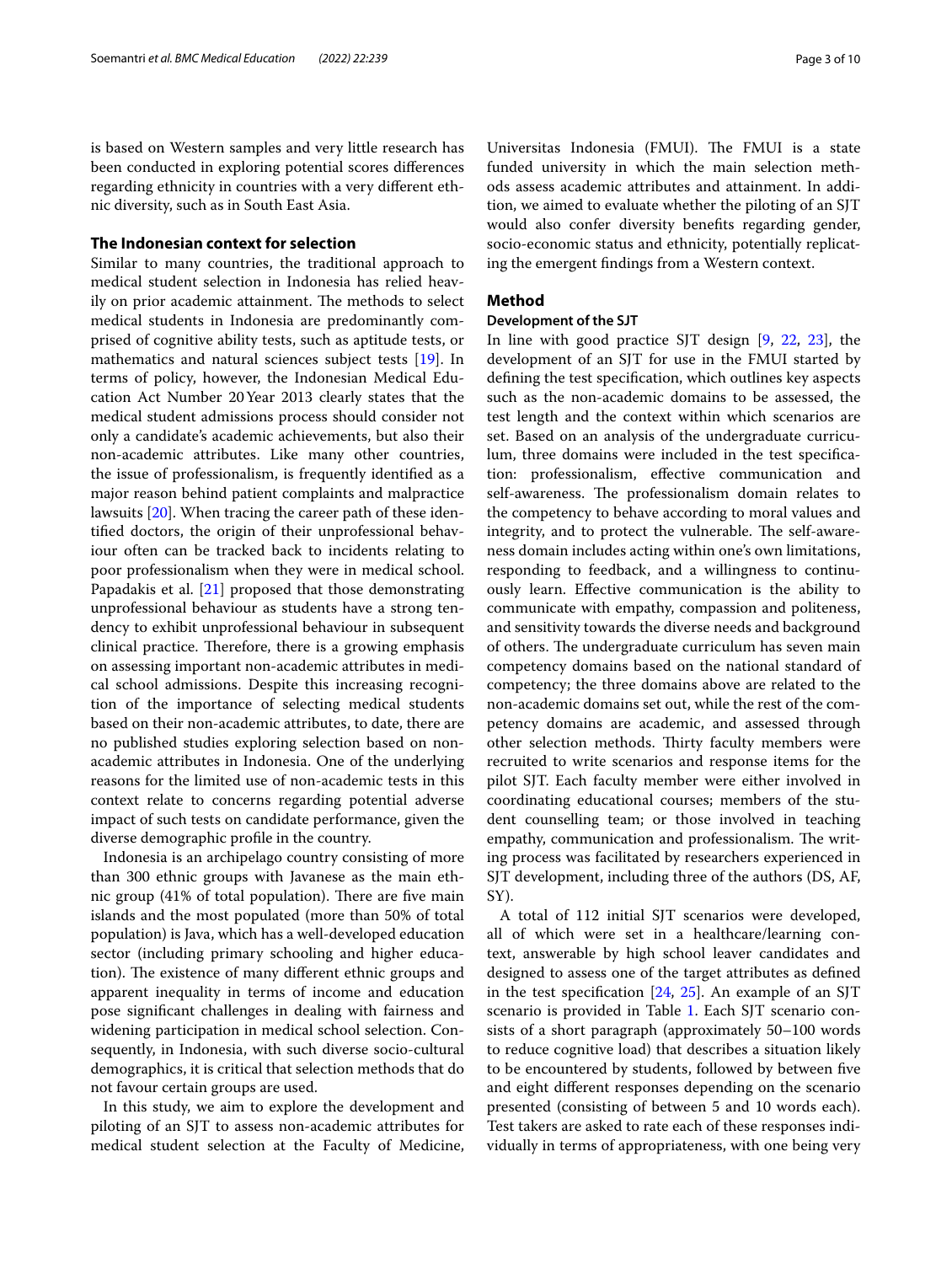is based on Western samples and very little research has been conducted in exploring potential scores diferences regarding ethnicity in countries with a very diferent ethnic diversity, such as in South East Asia.

# **The Indonesian context for selection**

Similar to many countries, the traditional approach to medical student selection in Indonesia has relied heavily on prior academic attainment. The methods to select medical students in Indonesia are predominantly comprised of cognitive ability tests, such as aptitude tests, or mathematics and natural sciences subject tests [\[19](#page-9-6)]. In terms of policy, however, the Indonesian Medical Education Act Number 20Year 2013 clearly states that the medical student admissions process should consider not only a candidate's academic achievements, but also their non-academic attributes. Like many other countries, the issue of professionalism, is frequently identifed as a major reason behind patient complaints and malpractice lawsuits [\[20\]](#page-9-7). When tracing the career path of these identifed doctors, the origin of their unprofessional behaviour often can be tracked back to incidents relating to poor professionalism when they were in medical school. Papadakis et al. [[21\]](#page-9-8) proposed that those demonstrating unprofessional behaviour as students have a strong tendency to exhibit unprofessional behaviour in subsequent clinical practice. Therefore, there is a growing emphasis on assessing important non-academic attributes in medical school admissions. Despite this increasing recognition of the importance of selecting medical students based on their non-academic attributes, to date, there are no published studies exploring selection based on nonacademic attributes in Indonesia. One of the underlying reasons for the limited use of non-academic tests in this context relate to concerns regarding potential adverse impact of such tests on candidate performance, given the diverse demographic profle in the country.

Indonesia is an archipelago country consisting of more than 300 ethnic groups with Javanese as the main ethnic group  $(41\%$  of total population). There are five main islands and the most populated (more than 50% of total population) is Java, which has a well-developed education sector (including primary schooling and higher education). The existence of many different ethnic groups and apparent inequality in terms of income and education pose signifcant challenges in dealing with fairness and widening participation in medical school selection. Consequently, in Indonesia, with such diverse socio-cultural demographics, it is critical that selection methods that do not favour certain groups are used.

In this study, we aim to explore the development and piloting of an SJT to assess non-academic attributes for medical student selection at the Faculty of Medicine,

Universitas Indonesia (FMUI). The FMUI is a state funded university in which the main selection methods assess academic attributes and attainment. In addition, we aimed to evaluate whether the piloting of an SJT would also confer diversity benefts regarding gender, socio-economic status and ethnicity, potentially replicating the emergent fndings from a Western context.

### **Method**

# **Development of the SJT**

In line with good practice SJT design [\[9](#page-8-8), [22,](#page-9-9) [23](#page-9-10)], the development of an SJT for use in the FMUI started by defning the test specifcation, which outlines key aspects such as the non-academic domains to be assessed, the test length and the context within which scenarios are set. Based on an analysis of the undergraduate curriculum, three domains were included in the test specifcation: professionalism, efective communication and self-awareness. The professionalism domain relates to the competency to behave according to moral values and integrity, and to protect the vulnerable. The self-awareness domain includes acting within one's own limitations, responding to feedback, and a willingness to continuously learn. Efective communication is the ability to communicate with empathy, compassion and politeness, and sensitivity towards the diverse needs and background of others. The undergraduate curriculum has seven main competency domains based on the national standard of competency; the three domains above are related to the non-academic domains set out, while the rest of the competency domains are academic, and assessed through other selection methods. Thirty faculty members were recruited to write scenarios and response items for the pilot SJT. Each faculty member were either involved in coordinating educational courses; members of the student counselling team; or those involved in teaching empathy, communication and professionalism. The writing process was facilitated by researchers experienced in SJT development, including three of the authors (DS, AF, SY).

A total of 112 initial SJT scenarios were developed, all of which were set in a healthcare/learning context, answerable by high school leaver candidates and designed to assess one of the target attributes as defned in the test specification  $[24, 25]$  $[24, 25]$  $[24, 25]$ . An example of an SJT scenario is provided in Table [1.](#page-3-0) Each SJT scenario consists of a short paragraph (approximately 50–100 words to reduce cognitive load) that describes a situation likely to be encountered by students, followed by between fve and eight diferent responses depending on the scenario presented (consisting of between 5 and 10 words each). Test takers are asked to rate each of these responses individually in terms of appropriateness, with one being very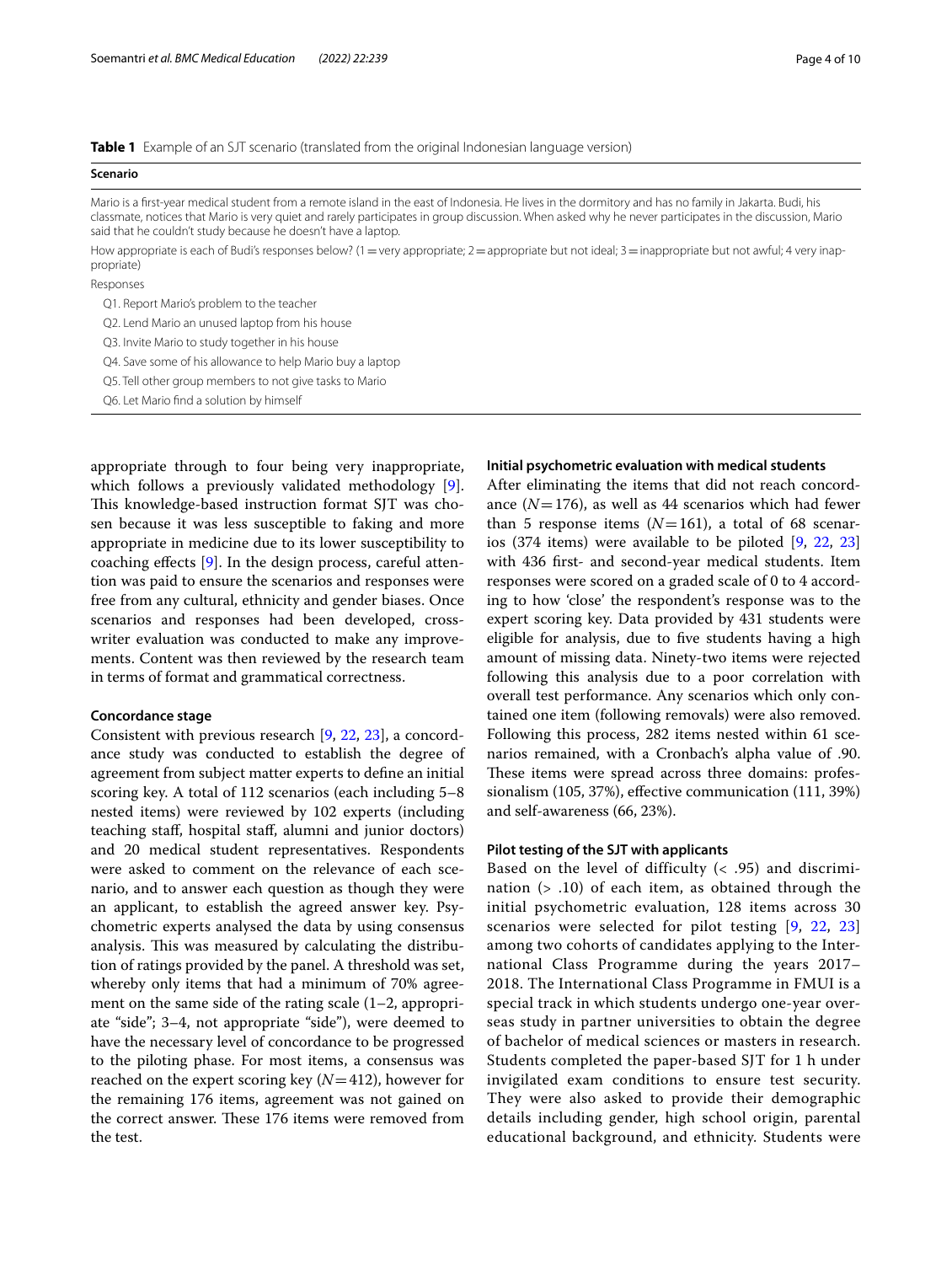<span id="page-3-0"></span>

|  |  | <b>Table 1</b> Example of an SJT scenario (translated from the original Indonesian language version) |
|--|--|------------------------------------------------------------------------------------------------------|
|  |  |                                                                                                      |

| Mario is a first-year medical student from a remote island in the east of Indonesia. He lives in the dormitory and has no family in Jakarta. Budi, his<br>classmate, notices that Mario is very quiet and rarely participates in group discussion. When asked why he never participates in the discussion, Mario<br>said that he couldn't study because he doesn't have a laptop. |
|-----------------------------------------------------------------------------------------------------------------------------------------------------------------------------------------------------------------------------------------------------------------------------------------------------------------------------------------------------------------------------------|
| How appropriate is each of Budi's responses below? (1 = very appropriate; 2 = appropriate but not ideal; 3 = inappropriate but not awful; 4 very inap-<br>propriate)                                                                                                                                                                                                              |

Responses

propriate)

**Scenario**

Q1. Report Mario's problem to the teacher

Q2. Lend Mario an unused laptop from his house

Q3. Invite Mario to study together in his house

Q4. Save some of his allowance to help Mario buy a laptop

Q5. Tell other group members to not give tasks to Mario

Q6. Let Mario fnd a solution by himself

appropriate through to four being very inappropriate, which follows a previously validated methodology [\[9](#page-8-8)]. This knowledge-based instruction format SJT was chosen because it was less susceptible to faking and more appropriate in medicine due to its lower susceptibility to coaching efects [[9\]](#page-8-8). In the design process, careful attention was paid to ensure the scenarios and responses were free from any cultural, ethnicity and gender biases. Once scenarios and responses had been developed, crosswriter evaluation was conducted to make any improvements. Content was then reviewed by the research team in terms of format and grammatical correctness.

## **Concordance stage**

Consistent with previous research [\[9](#page-8-8), [22](#page-9-9), [23\]](#page-9-10), a concordance study was conducted to establish the degree of agreement from subject matter experts to defne an initial scoring key. A total of 112 scenarios (each including 5–8 nested items) were reviewed by 102 experts (including teaching staf, hospital staf, alumni and junior doctors) and 20 medical student representatives. Respondents were asked to comment on the relevance of each scenario, and to answer each question as though they were an applicant, to establish the agreed answer key. Psychometric experts analysed the data by using consensus analysis. This was measured by calculating the distribution of ratings provided by the panel. A threshold was set, whereby only items that had a minimum of 70% agreement on the same side of the rating scale (1–2, appropriate "side"; 3–4, not appropriate "side"), were deemed to have the necessary level of concordance to be progressed to the piloting phase. For most items, a consensus was reached on the expert scoring key (*N*=412), however for the remaining 176 items, agreement was not gained on the correct answer. These 176 items were removed from the test.

### **Initial psychometric evaluation with medical students**

After eliminating the items that did not reach concordance  $(N=176)$ , as well as 44 scenarios which had fewer than 5 response items  $(N=161)$ , a total of 68 scenarios (374 items) were available to be piloted [[9,](#page-8-8) [22](#page-9-9), [23](#page-9-10)] with 436 frst- and second-year medical students. Item responses were scored on a graded scale of 0 to 4 according to how 'close' the respondent's response was to the expert scoring key. Data provided by 431 students were eligible for analysis, due to fve students having a high amount of missing data. Ninety-two items were rejected following this analysis due to a poor correlation with overall test performance. Any scenarios which only contained one item (following removals) were also removed. Following this process, 282 items nested within 61 scenarios remained, with a Cronbach's alpha value of .90. These items were spread across three domains: professionalism (105, 37%), efective communication (111, 39%) and self-awareness (66, 23%).

### **Pilot testing of the SJT with applicants**

Based on the level of difficulty  $($   $<$   $.95)$  and discrimination (> .10) of each item, as obtained through the initial psychometric evaluation, 128 items across 30 scenarios were selected for pilot testing [[9,](#page-8-8) [22,](#page-9-9) [23](#page-9-10)] among two cohorts of candidates applying to the International Class Programme during the years 2017– 2018. The International Class Programme in FMUI is a special track in which students undergo one-year overseas study in partner universities to obtain the degree of bachelor of medical sciences or masters in research. Students completed the paper-based SJT for 1 h under invigilated exam conditions to ensure test security. They were also asked to provide their demographic details including gender, high school origin, parental educational background, and ethnicity. Students were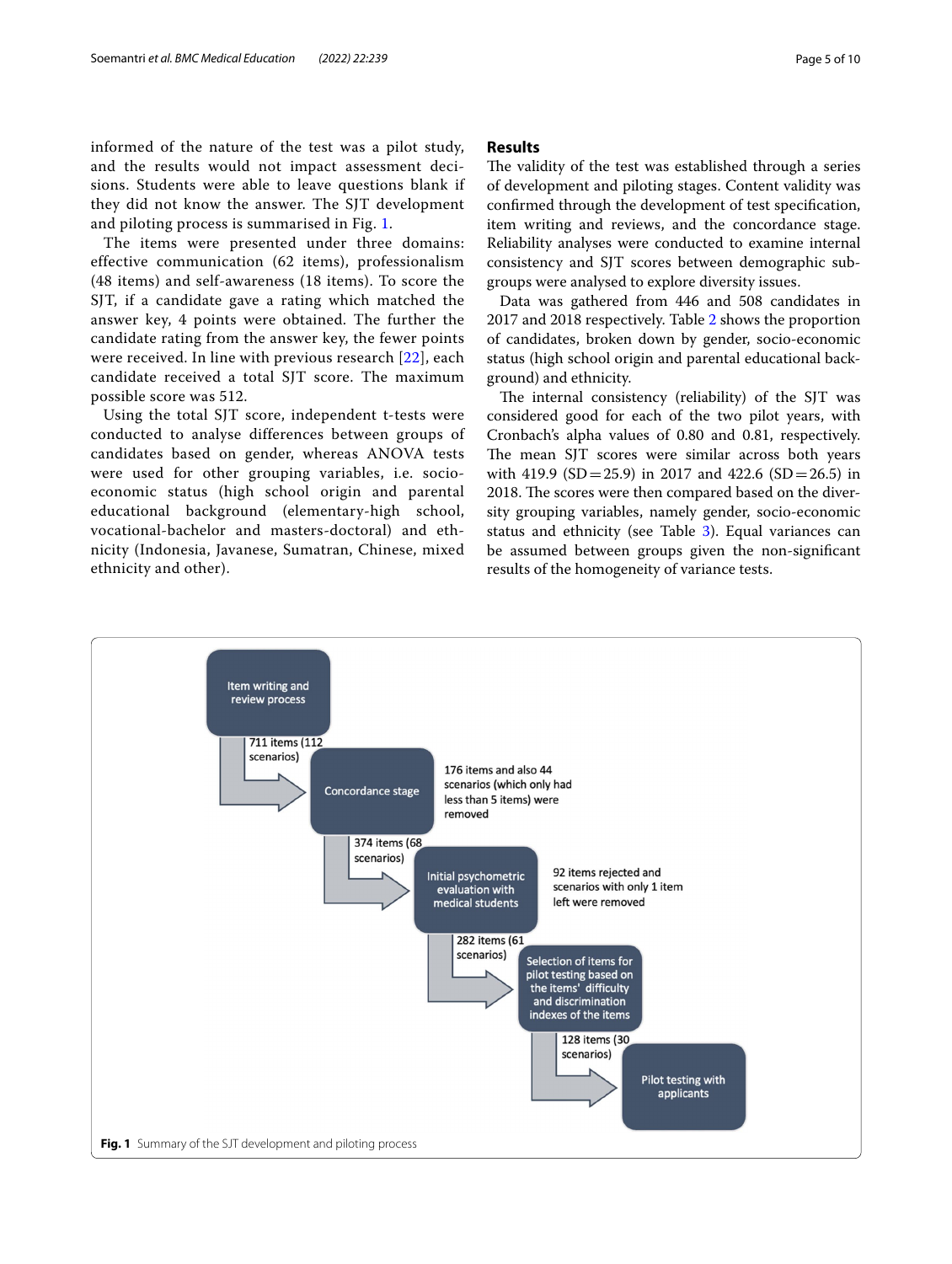informed of the nature of the test was a pilot study, and the results would not impact assessment decisions. Students were able to leave questions blank if they did not know the answer. The SJT development and piloting process is summarised in Fig. [1.](#page-4-0)

The items were presented under three domains: effective communication (62 items), professionalism (48 items) and self-awareness (18 items). To score the SJT, if a candidate gave a rating which matched the answer key, 4 points were obtained. The further the candidate rating from the answer key, the fewer points were received. In line with previous research [[22\]](#page-9-9), each candidate received a total SJT score. The maximum possible score was 512.

Using the total SJT score, independent t-tests were conducted to analyse differences between groups of candidates based on gender, whereas ANOVA tests were used for other grouping variables, i.e. socioeconomic status (high school origin and parental educational background (elementary-high school, vocational-bachelor and masters-doctoral) and ethnicity (Indonesia, Javanese, Sumatran, Chinese, mixed ethnicity and other).

# **Results**

The validity of the test was established through a series of development and piloting stages. Content validity was confrmed through the development of test specifcation, item writing and reviews, and the concordance stage. Reliability analyses were conducted to examine internal consistency and SJT scores between demographic subgroups were analysed to explore diversity issues.

Data was gathered from 446 and 508 candidates in 2017 and 2018 respectively. Table [2](#page-5-0) shows the proportion of candidates, broken down by gender, socio-economic status (high school origin and parental educational background) and ethnicity.

The internal consistency (reliability) of the SJT was considered good for each of the two pilot years, with Cronbach's alpha values of 0.80 and 0.81, respectively. The mean SJT scores were similar across both years with 419.9 (SD = 25.9) in 2017 and 422.6 (SD = 26.5) in 2018. The scores were then compared based on the diversity grouping variables, namely gender, socio-economic status and ethnicity (see Table [3](#page-6-0)). Equal variances can be assumed between groups given the non-signifcant results of the homogeneity of variance tests.

<span id="page-4-0"></span>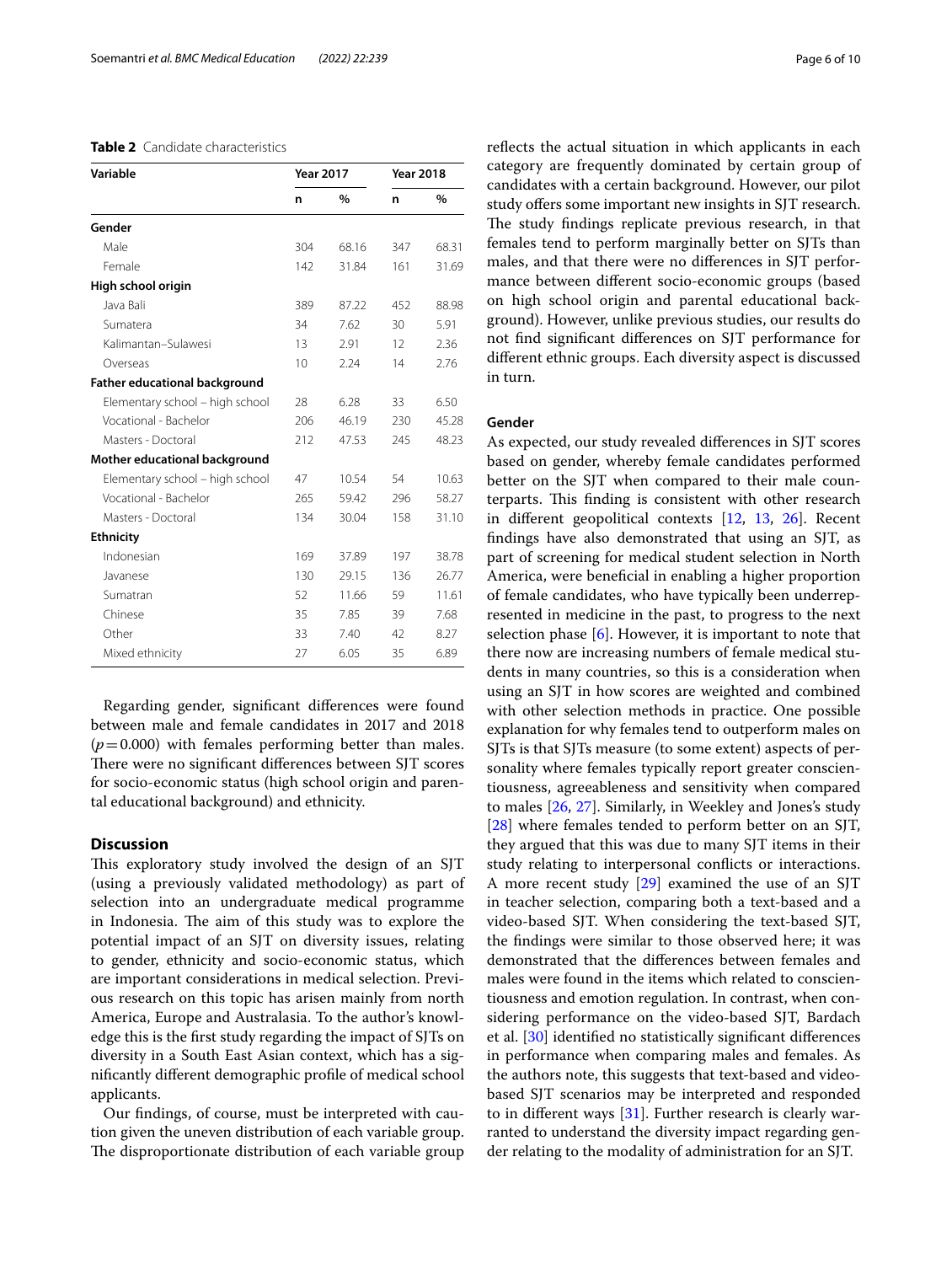### <span id="page-5-0"></span>**Table 2** Candidate characteristics

| Variable                             | <b>Year 2017</b> |       | <b>Year 2018</b> |               |  |
|--------------------------------------|------------------|-------|------------------|---------------|--|
|                                      | n                | $\%$  | n                | $\frac{0}{0}$ |  |
| Gender                               |                  |       |                  |               |  |
| Male                                 | 304              | 68.16 | 347              | 68.31         |  |
| Female                               | 142              | 31.84 | 161              | 31.69         |  |
| High school origin                   |                  |       |                  |               |  |
| Java Bali                            | 389              | 87.22 | 452              | 88.98         |  |
| Sumatera                             | 34               | 7.62  | 30               | 5.91          |  |
| Kalimantan-Sulawesi                  | 13               | 2.91  | 12               | 2.36          |  |
| Overseas                             | 10               | 2.24  | 14               | 2.76          |  |
| <b>Father educational background</b> |                  |       |                  |               |  |
| Elementary school - high school      | 28               | 6.28  | 33               | 6.50          |  |
| Vocational - Bachelor                | 206              | 46.19 | 230              | 45.28         |  |
| Masters - Doctoral                   | 212              | 47.53 | 245              | 48.23         |  |
| Mother educational background        |                  |       |                  |               |  |
| Elementary school - high school      | 47               | 10.54 | 54               | 10.63         |  |
| Vocational - Bachelor                | 265              | 59.42 | 296              | 58.27         |  |
| Masters - Doctoral                   | 134              | 30.04 | 158              | 31.10         |  |
| <b>Ethnicity</b>                     |                  |       |                  |               |  |
| Indonesian                           | 169              | 37.89 | 197              | 38.78         |  |
| Javanese                             | 130              | 29.15 | 136              | 26.77         |  |
| Sumatran                             | 52               | 11.66 | 59               | 11.61         |  |
| Chinese                              | 35               | 7.85  | 39               | 7.68          |  |
| Other                                | 33               | 7.40  | 42               | 8.27          |  |
| Mixed ethnicity                      | 27               | 6.05  | 35               | 6.89          |  |

Regarding gender, signifcant diferences were found between male and female candidates in 2017 and 2018  $(p=0.000)$  with females performing better than males. There were no significant differences between SJT scores for socio-economic status (high school origin and parental educational background) and ethnicity.

# **Discussion**

This exploratory study involved the design of an SJT (using a previously validated methodology) as part of selection into an undergraduate medical programme in Indonesia. The aim of this study was to explore the potential impact of an SJT on diversity issues, relating to gender, ethnicity and socio-economic status, which are important considerations in medical selection. Previous research on this topic has arisen mainly from north America, Europe and Australasia. To the author's knowledge this is the frst study regarding the impact of SJTs on diversity in a South East Asian context, which has a signifcantly diferent demographic profle of medical school applicants.

Our fndings, of course, must be interpreted with caution given the uneven distribution of each variable group. The disproportionate distribution of each variable group reflects the actual situation in which applicants in each category are frequently dominated by certain group of candidates with a certain background. However, our pilot study offers some important new insights in SJT research. The study findings replicate previous research, in that females tend to perform marginally better on SJTs than males, and that there were no diferences in SJT performance between diferent socio-economic groups (based on high school origin and parental educational background). However, unlike previous studies, our results do not fnd signifcant diferences on SJT performance for diferent ethnic groups. Each diversity aspect is discussed in turn.

# **Gender**

As expected, our study revealed diferences in SJT scores based on gender, whereby female candidates performed better on the SJT when compared to their male counterparts. This finding is consistent with other research in diferent geopolitical contexts [[12](#page-8-11), [13](#page-9-0), [26\]](#page-9-13). Recent fndings have also demonstrated that using an SJT, as part of screening for medical student selection in North America, were benefcial in enabling a higher proportion of female candidates, who have typically been underrepresented in medicine in the past, to progress to the next selection phase [\[6](#page-8-5)]. However, it is important to note that there now are increasing numbers of female medical students in many countries, so this is a consideration when using an SJT in how scores are weighted and combined with other selection methods in practice. One possible explanation for why females tend to outperform males on SJTs is that SJTs measure (to some extent) aspects of personality where females typically report greater conscientiousness, agreeableness and sensitivity when compared to males [[26](#page-9-13), [27](#page-9-14)]. Similarly, in Weekley and Jones's study [[28\]](#page-9-15) where females tended to perform better on an SJT, they argued that this was due to many SJT items in their study relating to interpersonal conficts or interactions. A more recent study [[29\]](#page-9-16) examined the use of an SJT in teacher selection, comparing both a text-based and a video-based SJT. When considering the text-based SJT, the fndings were similar to those observed here; it was demonstrated that the diferences between females and males were found in the items which related to conscientiousness and emotion regulation. In contrast, when considering performance on the video-based SJT, Bardach et al. [\[30](#page-9-17)] identifed no statistically signifcant diferences in performance when comparing males and females. As the authors note, this suggests that text-based and videobased SJT scenarios may be interpreted and responded to in diferent ways [[31\]](#page-9-18). Further research is clearly warranted to understand the diversity impact regarding gender relating to the modality of administration for an SJT.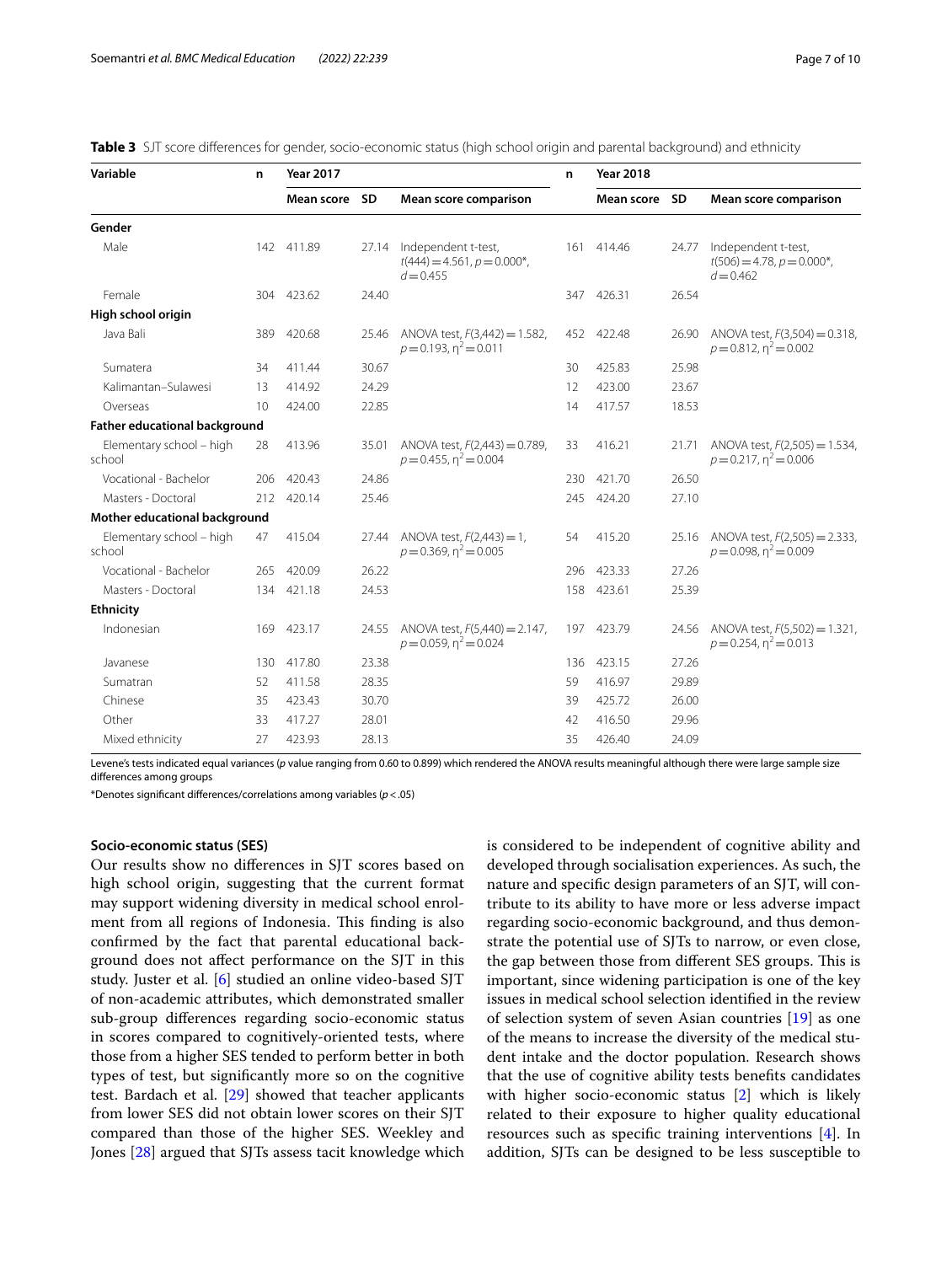| Variable                                                    | n                                                         | <b>Year 2017</b>                                             |                                            |                                                                 | n          | <b>Year 2018</b>                                                |                                                                                    |                                                                    |  |
|-------------------------------------------------------------|-----------------------------------------------------------|--------------------------------------------------------------|--------------------------------------------|-----------------------------------------------------------------|------------|-----------------------------------------------------------------|------------------------------------------------------------------------------------|--------------------------------------------------------------------|--|
|                                                             |                                                           | Mean score                                                   | <b>SD</b>                                  | Mean score comparison                                           |            | Mean score                                                      | <b>SD</b>                                                                          | Mean score comparison                                              |  |
| Gender                                                      |                                                           |                                                              |                                            |                                                                 |            |                                                                 |                                                                                    |                                                                    |  |
| Male                                                        | 142 411.89<br>Independent t-test,<br>27.14<br>$d = 0.455$ |                                                              | $t(444) = 4.561, p = 0.000$ <sup>*</sup> , |                                                                 | 161 414.46 | 24.77                                                           | Independent t-test,<br>$t(506) = 4.78$ , $p = 0.000$ <sup>*</sup> ,<br>$d = 0.462$ |                                                                    |  |
| Female                                                      |                                                           | 304 423.62                                                   | 24.40                                      |                                                                 |            | 347 426.31                                                      | 26.54                                                                              |                                                                    |  |
| High school origin                                          |                                                           |                                                              |                                            |                                                                 |            |                                                                 |                                                                                    |                                                                    |  |
| Java Bali                                                   | 389                                                       | 420.68                                                       | 25.46                                      | ANOVA test, F(3,442) = 1.582,<br>$p = 0.193$ , $\eta^2 = 0.011$ | 452        | 422.48                                                          | 26.90                                                                              | ANOVA test, $F(3,504) = 0.318$ ,<br>$p = 0.812$ , $n^2 = 0.002$    |  |
| Sumatera                                                    | 34                                                        | 411.44                                                       | 30.67                                      |                                                                 | 30         | 425.83                                                          | 25.98                                                                              |                                                                    |  |
| Kalimantan-Sulawesi                                         | 13                                                        | 414.92                                                       | 24.29                                      |                                                                 | 12         | 423.00                                                          | 23.67                                                                              |                                                                    |  |
| Overseas                                                    | 10                                                        | 424.00                                                       | 22.85                                      |                                                                 | 14         | 417.57                                                          | 18.53                                                                              |                                                                    |  |
| <b>Father educational background</b>                        |                                                           |                                                              |                                            |                                                                 |            |                                                                 |                                                                                    |                                                                    |  |
| Elementary school - high<br>413.96<br>28<br>35.01<br>school |                                                           | ANOVA test, F(2,443) = 0.789,<br>$p = 0.455$ , $n^2 = 0.004$ | 33                                         | 416.21                                                          | 21.71      | ANOVA test, $F(2,505) = 1.534$ ,<br>$p = 0.217$ , $n^2 = 0.006$ |                                                                                    |                                                                    |  |
| Vocational - Bachelor                                       | 206                                                       | 420.43                                                       | 24.86                                      |                                                                 | 230        | 421.70                                                          | 26.50                                                                              |                                                                    |  |
| Masters - Doctoral                                          | 212                                                       | 420.14                                                       | 25.46                                      |                                                                 | 245        | 424.20                                                          | 27.10                                                                              |                                                                    |  |
| Mother educational background                               |                                                           |                                                              |                                            |                                                                 |            |                                                                 |                                                                                    |                                                                    |  |
| Elementary school - high<br>school                          | 47                                                        | 415.04                                                       | 27.44                                      | ANOVA test, $F(2,443) = 1$ ,<br>$p = 0.369$ , $n^2 = 0.005$     | 54         | 415.20                                                          | 25.16                                                                              | ANOVA test, $F(2,505) = 2.333$ ,<br>$p = 0.098$ , $n^2 = 0.009$    |  |
| Vocational - Bachelor                                       | 265                                                       | 420.09                                                       | 26.22                                      |                                                                 | 296        | 423.33                                                          | 27.26                                                                              |                                                                    |  |
| Masters - Doctoral                                          | 134                                                       | 421.18                                                       | 24.53                                      |                                                                 | 158        | 423.61                                                          | 25.39                                                                              |                                                                    |  |
| <b>Ethnicity</b>                                            |                                                           |                                                              |                                            |                                                                 |            |                                                                 |                                                                                    |                                                                    |  |
| Indonesian                                                  | 169                                                       | 423.17                                                       | 24.55                                      | ANOVA test, $F(5,440) = 2.147$ ,<br>$p = 0.059$ , $n^2 = 0.024$ | 197        | 423.79                                                          | 24.56                                                                              | ANOVA test, $F(5,502) = 1.321$ ,<br>$p = 0.254$ , $\eta^2 = 0.013$ |  |
| Javanese                                                    | 130                                                       | 417.80                                                       | 23.38                                      |                                                                 | 136        | 423.15                                                          | 27.26                                                                              |                                                                    |  |
| Sumatran                                                    | 52                                                        | 411.58                                                       | 28.35                                      |                                                                 | 59         | 416.97                                                          | 29.89                                                                              |                                                                    |  |
| Chinese                                                     | 35                                                        | 423.43                                                       | 30.70                                      |                                                                 | 39         | 425.72                                                          | 26.00                                                                              |                                                                    |  |
| Other                                                       | 33                                                        | 417.27                                                       | 28.01                                      |                                                                 | 42         | 416.50                                                          | 29.96                                                                              |                                                                    |  |
| Mixed ethnicity                                             | 27                                                        | 423.93                                                       | 28.13                                      |                                                                 | 35         | 426.40                                                          | 24.09                                                                              |                                                                    |  |

<span id="page-6-0"></span>

|  | Table 3 SJT score differences for gender, socio-economic status (high school origin and parental background) and ethnicity |  |  |  |  |  |
|--|----------------------------------------------------------------------------------------------------------------------------|--|--|--|--|--|
|  |                                                                                                                            |  |  |  |  |  |

Levene's tests indicated equal variances (*p* value ranging from 0.60 to 0.899) which rendered the ANOVA results meaningful although there were large sample size diferences among groups

\*Denotes signifcant diferences/correlations among variables (*p*<.05)

# **Socio‑economic status (SES)**

Our results show no diferences in SJT scores based on high school origin, suggesting that the current format may support widening diversity in medical school enrolment from all regions of Indonesia. This finding is also confrmed by the fact that parental educational background does not afect performance on the SJT in this study. Juster et al. [[6\]](#page-8-5) studied an online video-based SJT of non-academic attributes, which demonstrated smaller sub-group diferences regarding socio-economic status in scores compared to cognitively-oriented tests, where those from a higher SES tended to perform better in both types of test, but signifcantly more so on the cognitive test. Bardach et al.  $[29]$  showed that teacher applicants from lower SES did not obtain lower scores on their SJT compared than those of the higher SES. Weekley and Jones [[28](#page-9-15)] argued that SJTs assess tacit knowledge which is considered to be independent of cognitive ability and developed through socialisation experiences. As such, the nature and specifc design parameters of an SJT, will contribute to its ability to have more or less adverse impact regarding socio-economic background, and thus demonstrate the potential use of SJTs to narrow, or even close, the gap between those from different SES groups. This is important, since widening participation is one of the key issues in medical school selection identifed in the review of selection system of seven Asian countries [[19\]](#page-9-6) as one of the means to increase the diversity of the medical student intake and the doctor population. Research shows that the use of cognitive ability tests benefts candidates with higher socio-economic status [\[2](#page-8-1)] which is likely related to their exposure to higher quality educational resources such as specifc training interventions [\[4](#page-8-3)]. In addition, SJTs can be designed to be less susceptible to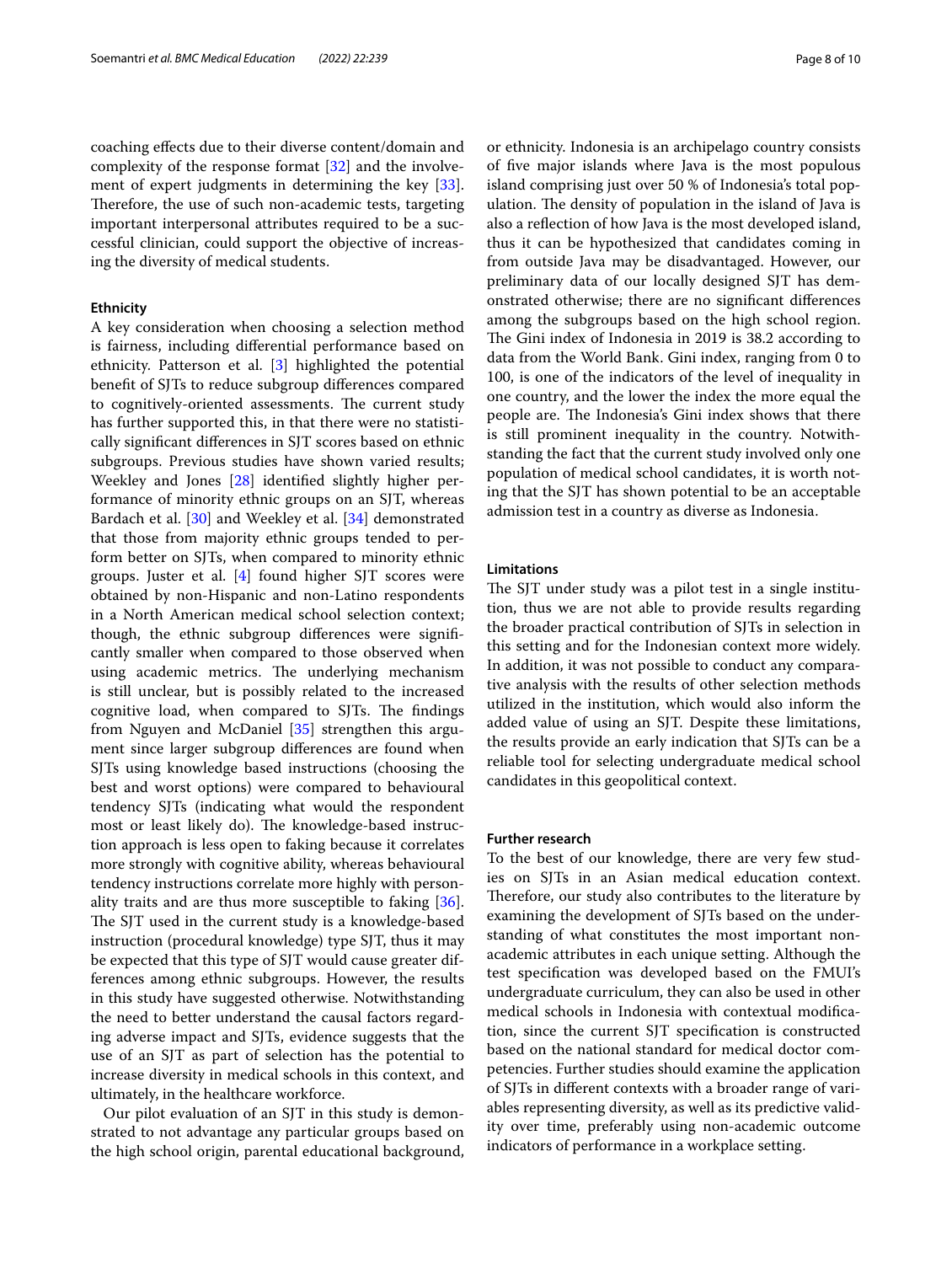coaching efects due to their diverse content/domain and complexity of the response format [[32](#page-9-19)] and the involvement of expert judgments in determining the key [\[33](#page-9-20)]. Therefore, the use of such non-academic tests, targeting important interpersonal attributes required to be a successful clinician, could support the objective of increasing the diversity of medical students.

# **Ethnicity**

A key consideration when choosing a selection method is fairness, including diferential performance based on ethnicity. Patterson et al. [\[3](#page-8-2)] highlighted the potential beneft of SJTs to reduce subgroup diferences compared to cognitively-oriented assessments. The current study has further supported this, in that there were no statistically signifcant diferences in SJT scores based on ethnic subgroups. Previous studies have shown varied results; Weekley and Jones [[28](#page-9-15)] identifed slightly higher performance of minority ethnic groups on an SJT, whereas Bardach et al. [[30](#page-9-17)] and Weekley et al. [[34\]](#page-9-21) demonstrated that those from majority ethnic groups tended to perform better on SJTs, when compared to minority ethnic groups. Juster et al. [\[4](#page-8-3)] found higher SJT scores were obtained by non-Hispanic and non-Latino respondents in a North American medical school selection context; though, the ethnic subgroup diferences were signifcantly smaller when compared to those observed when using academic metrics. The underlying mechanism is still unclear, but is possibly related to the increased cognitive load, when compared to SJTs. The findings from Nguyen and McDaniel [\[35\]](#page-9-22) strengthen this argument since larger subgroup diferences are found when SJTs using knowledge based instructions (choosing the best and worst options) were compared to behavioural tendency SJTs (indicating what would the respondent most or least likely do). The knowledge-based instruction approach is less open to faking because it correlates more strongly with cognitive ability, whereas behavioural tendency instructions correlate more highly with personality traits and are thus more susceptible to faking [\[36](#page-9-23)]. The SJT used in the current study is a knowledge-based instruction (procedural knowledge) type SJT, thus it may be expected that this type of SJT would cause greater differences among ethnic subgroups. However, the results in this study have suggested otherwise. Notwithstanding the need to better understand the causal factors regarding adverse impact and SJTs, evidence suggests that the use of an SJT as part of selection has the potential to increase diversity in medical schools in this context, and ultimately, in the healthcare workforce.

Our pilot evaluation of an SJT in this study is demonstrated to not advantage any particular groups based on the high school origin, parental educational background, or ethnicity. Indonesia is an archipelago country consists of fve major islands where Java is the most populous island comprising just over 50 % of Indonesia's total population. The density of population in the island of Java is also a refection of how Java is the most developed island, thus it can be hypothesized that candidates coming in from outside Java may be disadvantaged. However, our preliminary data of our locally designed SJT has demonstrated otherwise; there are no signifcant diferences among the subgroups based on the high school region. The Gini index of Indonesia in 2019 is 38.2 according to data from the World Bank. Gini index, ranging from 0 to 100, is one of the indicators of the level of inequality in one country, and the lower the index the more equal the people are. The Indonesia's Gini index shows that there is still prominent inequality in the country. Notwithstanding the fact that the current study involved only one population of medical school candidates, it is worth noting that the SJT has shown potential to be an acceptable admission test in a country as diverse as Indonesia.

## **Limitations**

The SJT under study was a pilot test in a single institution, thus we are not able to provide results regarding the broader practical contribution of SJTs in selection in this setting and for the Indonesian context more widely. In addition, it was not possible to conduct any comparative analysis with the results of other selection methods utilized in the institution, which would also inform the added value of using an SJT. Despite these limitations, the results provide an early indication that SJTs can be a reliable tool for selecting undergraduate medical school candidates in this geopolitical context.

# **Further research**

To the best of our knowledge, there are very few studies on SJTs in an Asian medical education context. Therefore, our study also contributes to the literature by examining the development of SJTs based on the understanding of what constitutes the most important nonacademic attributes in each unique setting. Although the test specifcation was developed based on the FMUI's undergraduate curriculum, they can also be used in other medical schools in Indonesia with contextual modifcation, since the current SJT specifcation is constructed based on the national standard for medical doctor competencies. Further studies should examine the application of SJTs in diferent contexts with a broader range of variables representing diversity, as well as its predictive validity over time, preferably using non-academic outcome indicators of performance in a workplace setting.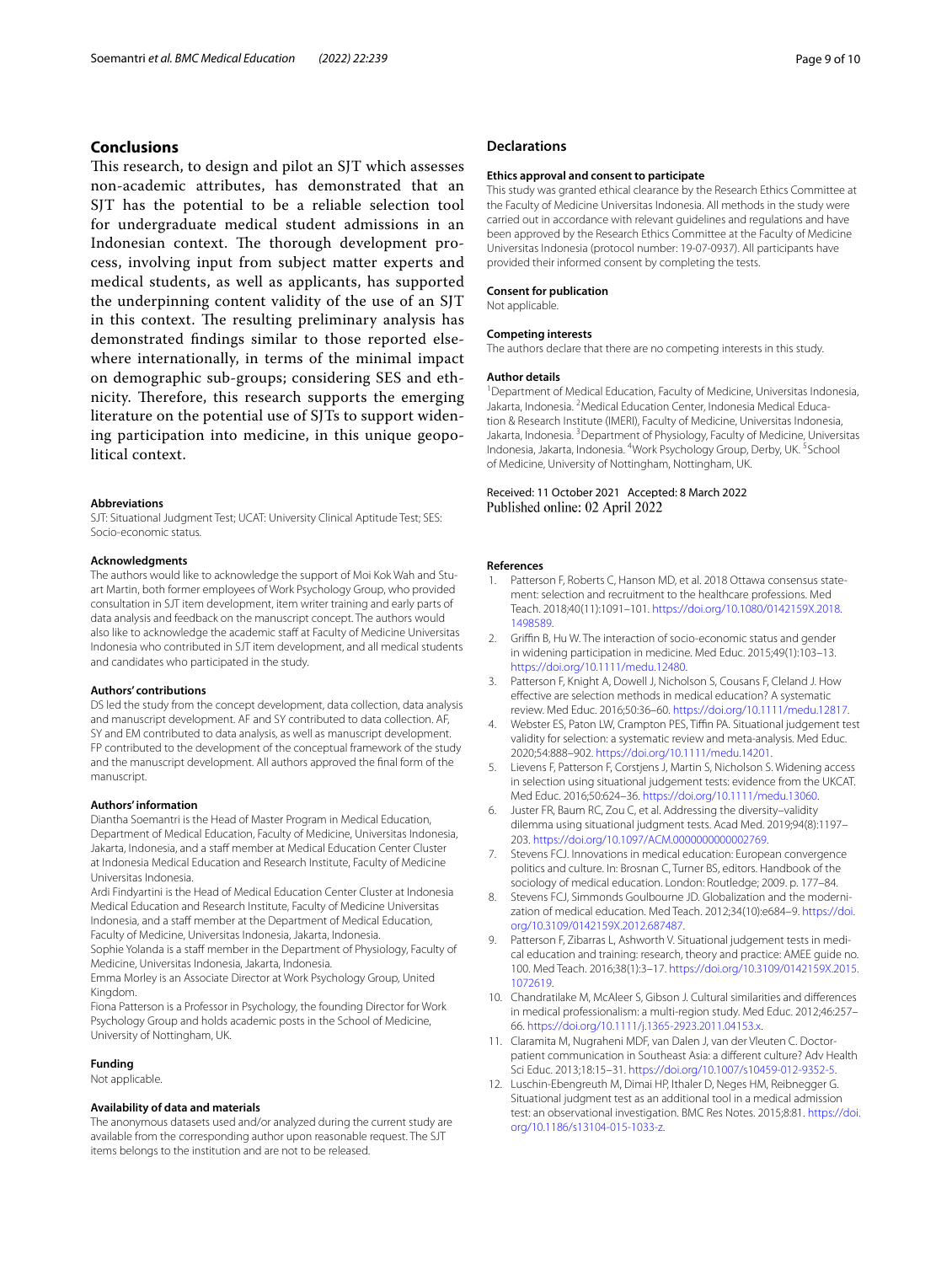# **Conclusions**

This research, to design and pilot an SJT which assesses non-academic attributes, has demonstrated that an SJT has the potential to be a reliable selection tool for undergraduate medical student admissions in an Indonesian context. The thorough development process, involving input from subject matter experts and medical students, as well as applicants, has supported the underpinning content validity of the use of an SJT in this context. The resulting preliminary analysis has demonstrated fndings similar to those reported elsewhere internationally, in terms of the minimal impact on demographic sub-groups; considering SES and ethnicity. Therefore, this research supports the emerging literature on the potential use of SJTs to support widening participation into medicine, in this unique geopolitical context.

#### **Abbreviations**

SJT: Situational Judgment Test; UCAT: University Clinical Aptitude Test; SES: Socio-economic status.

#### **Acknowledgments**

The authors would like to acknowledge the support of Moi Kok Wah and Stuart Martin, both former employees of Work Psychology Group, who provided consultation in SJT item development, item writer training and early parts of data analysis and feedback on the manuscript concept. The authors would also like to acknowledge the academic staff at Faculty of Medicine Universitas Indonesia who contributed in SJT item development, and all medical students and candidates who participated in the study.

#### **Authors' contributions**

DS led the study from the concept development, data collection, data analysis and manuscript development. AF and SY contributed to data collection. AF, SY and EM contributed to data analysis, as well as manuscript development. FP contributed to the development of the conceptual framework of the study and the manuscript development. All authors approved the fnal form of the manuscript.

#### **Authors' information**

Diantha Soemantri is the Head of Master Program in Medical Education, Department of Medical Education, Faculty of Medicine, Universitas Indonesia, Jakarta, Indonesia, and a staff member at Medical Education Center Cluster at Indonesia Medical Education and Research Institute, Faculty of Medicine Universitas Indonesia.

Ardi Findyartini is the Head of Medical Education Center Cluster at Indonesia Medical Education and Research Institute, Faculty of Medicine Universitas Indonesia, and a staff member at the Department of Medical Education, Faculty of Medicine, Universitas Indonesia, Jakarta, Indonesia.

Sophie Yolanda is a staff member in the Department of Physiology, Faculty of Medicine, Universitas Indonesia, Jakarta, Indonesia.

Emma Morley is an Associate Director at Work Psychology Group, United Kingdom.

Fiona Patterson is a Professor in Psychology, the founding Director for Work Psychology Group and holds academic posts in the School of Medicine, University of Nottingham, UK.

#### **Funding**

Not applicable.

### **Availability of data and materials**

The anonymous datasets used and/or analyzed during the current study are available from the corresponding author upon reasonable request. The SJT items belongs to the institution and are not to be released.

# **Declarations**

#### **Ethics approval and consent to participate**

This study was granted ethical clearance by the Research Ethics Committee at the Faculty of Medicine Universitas Indonesia. All methods in the study were carried out in accordance with relevant guidelines and regulations and have been approved by the Research Ethics Committee at the Faculty of Medicine Universitas Indonesia (protocol number: 19-07-0937). All participants have provided their informed consent by completing the tests.

#### **Consent for publication**

Not applicable.

#### **Competing interests**

The authors declare that there are no competing interests in this study.

#### **Author details**

<sup>1</sup> Department of Medical Education, Faculty of Medicine, Universitas Indonesia, Jakarta, Indonesia. <sup>2</sup> Medical Education Center, Indonesia Medical Education & Research Institute (IMERI), Faculty of Medicine, Universitas Indonesia, Jakarta, Indonesia. <sup>3</sup> Department of Physiology, Faculty of Medicine, Universitas Indonesia, Jakarta, Indonesia. <sup>4</sup>Work Psychology Group, Derby, UK. <sup>5</sup>School of Medicine, University of Nottingham, Nottingham, UK.

### Received: 11 October 2021 Accepted: 8 March 2022 Published online: 02 April 2022

#### **References**

- <span id="page-8-0"></span>Patterson F, Roberts C, Hanson MD, et al. 2018 Ottawa consensus statement: selection and recruitment to the healthcare professions. Med Teach. 2018;40(11):1091–101. [https://doi.org/10.1080/0142159X.2018.](https://doi.org/10.1080/0142159X.2018.1498589) [1498589](https://doi.org/10.1080/0142159X.2018.1498589).
- <span id="page-8-1"></span>2. Griffin B, Hu W. The interaction of socio-economic status and gender in widening participation in medicine. Med Educ. 2015;49(1):103–13. [https://doi.org/10.1111/medu.12480.](https://doi.org/10.1111/medu.12480)
- <span id="page-8-2"></span>Patterson F, Knight A, Dowell J, Nicholson S, Cousans F, Cleland J. How efective are selection methods in medical education? A systematic review. Med Educ. 2016;50:36–60.<https://doi.org/10.1111/medu.12817>.
- <span id="page-8-3"></span>4. Webster ES, Paton LW, Crampton PES, Tiffin PA. Situational judgement test validity for selection: a systematic review and meta-analysis. Med Educ. 2020;54:888–902. <https://doi.org/10.1111/medu.14201>.
- <span id="page-8-4"></span>5. Lievens F, Patterson F, Corstjens J, Martin S, Nicholson S. Widening access in selection using situational judgement tests: evidence from the UKCAT. Med Educ. 2016;50:624–36. [https://doi.org/10.1111/medu.13060.](https://doi.org/10.1111/medu.13060)
- <span id="page-8-5"></span>6. Juster FR, Baum RC, Zou C, et al. Addressing the diversity–validity dilemma using situational judgment tests. Acad Med. 2019;94(8):1197– 203. [https://doi.org/10.1097/ACM.0000000000002769.](https://doi.org/10.1097/ACM.0000000000002769)
- <span id="page-8-6"></span>7. Stevens FCJ. Innovations in medical education: European convergence politics and culture. In: Brosnan C, Turner BS, editors. Handbook of the sociology of medical education. London: Routledge; 2009. p. 177–84.
- <span id="page-8-7"></span>8. Stevens FCJ, Simmonds Goulbourne JD. Globalization and the modernization of medical education. Med Teach. 2012;34(10):e684–9. [https://doi.](https://doi.org/10.3109/0142159X.2012.687487) [org/10.3109/0142159X.2012.687487](https://doi.org/10.3109/0142159X.2012.687487).
- <span id="page-8-8"></span>Patterson F, Zibarras L, Ashworth V. Situational judgement tests in medical education and training: research, theory and practice: AMEE guide no. 100. Med Teach. 2016;38(1):3–17. [https://doi.org/10.3109/0142159X.2015.](https://doi.org/10.3109/0142159X.2015.1072619) [1072619](https://doi.org/10.3109/0142159X.2015.1072619).
- <span id="page-8-9"></span>10. Chandratilake M, McAleer S, Gibson J. Cultural similarities and diferences in medical professionalism: a multi-region study. Med Educ. 2012;46:257– 66. <https://doi.org/10.1111/j.1365-2923.2011.04153.x>.
- <span id="page-8-10"></span>11. Claramita M, Nugraheni MDF, van Dalen J, van der Vleuten C. Doctorpatient communication in Southeast Asia: a diferent culture? Adv Health Sci Educ. 2013;18:15–31.<https://doi.org/10.1007/s10459-012-9352-5>.
- <span id="page-8-11"></span>12. Luschin-Ebengreuth M, Dimai HP, Ithaler D, Neges HM, Reibnegger G. Situational judgment test as an additional tool in a medical admission test: an observational investigation. BMC Res Notes. 2015;8:81. [https://doi.](https://doi.org/10.1186/s13104-015-1033-z) [org/10.1186/s13104-015-1033-z.](https://doi.org/10.1186/s13104-015-1033-z)